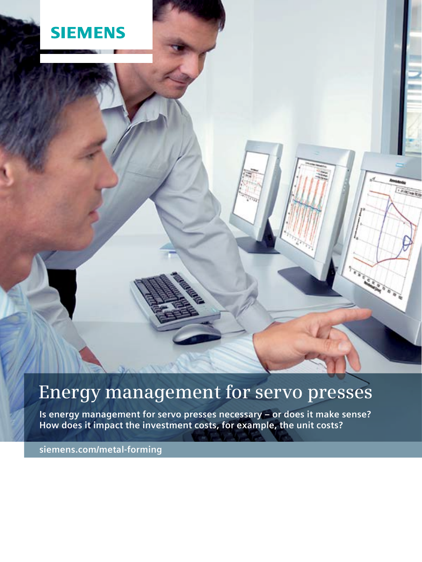# **SIEMENS**

# **Energy management for servo presses**

**CALLA** ED

**Contract Contract Contract Contract Contract Contract Contract Contract Contract Contract Contract C** 

ig a

**Is energy management for servo presses necessary – or does it make sense? How does it impact the investment costs, for example, the unit costs?**

**siemens.com/metal-forming**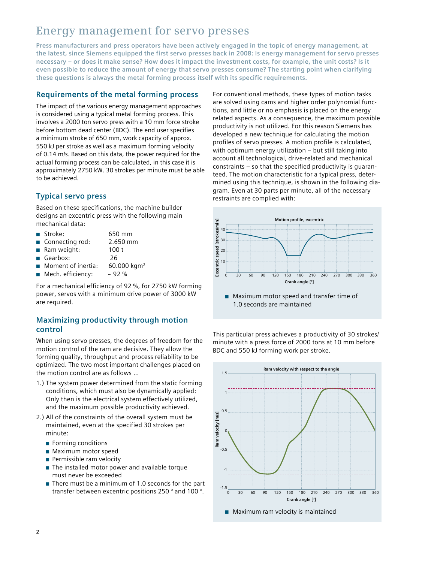# **Energy management for servo presses**

**Press manufacturers and press operators have been actively engaged in the topic of energy management, at the latest, since Siemens equipped the first servo presses back in 2008: Is energy management for servo presses necessary – or does it make sense? How does it impact the investment costs, for example, the unit costs? Is it even possible to reduce the amount of energy that servo presses consume? The starting point when clarifying these questions is always the metal forming process itself with its specific requirements.**

### **Requirements of the metal forming process**

The impact of the various energy management approaches is considered using a typical metal forming process. This involves a 2000 ton servo press with a 10 mm force stroke before bottom dead center (BDC). The end user specifies a minimum stroke of 650 mm, work capacity of approx. 550 kJ per stroke as well as a maximum forming velocity of 0.14 m/s. Based on this data, the power required for the actual forming process can be calculated, in this case it is approximately 2750 kW. 30 strokes per minute must be able to be achieved.

## **Typical servo press**

Based on these specifications, the machine builder designs an excentric press with the following main mechanical data:

- Stroke: 650 mm
- Connecting rod: 2.650 mm
- Ram weight: 100 t
- Gearbox: 26
- Moment of inertia: 60.000 kgm<sup>2</sup>
- $\blacksquare$  Mech. efficiency:  $\sim$  92 %

For a mechanical efficiency of 92 %, for 2750 kW forming power, servos with a minimum drive power of 3000 kW are required.

### **Maximizing productivity through motion control**

When using servo presses, the degrees of freedom for the motion control of the ram are decisive. They allow the forming quality, throughput and process reliability to be optimized. The two most important challenges placed on the motion control are as follows …

- 1.) The system power determined from the static forming conditions, which must also be dynamically applied: Only then is the electrical system effectively utilized, and the maximum possible productivity achieved.
- 2.) All of the constraints of the overall system must be maintained, even at the specified 30 strokes per minute:
	- Forming conditions
	- Maximum motor speed
	- Permissible ram velocity
	- $\blacksquare$  The installed motor power and available torque must never be exceeded
	- $\blacksquare$  There must be a minimum of 1.0 seconds for the part transfer between excentric positions 250 ° and 100 °.

For conventional methods, these types of motion tasks are solved using cams and higher order polynomial functions, and little or no emphasis is placed on the energy related aspects. As a consequence, the maximum possible productivity is not utilized. For this reason Siemens has developed a new technique for calculating the motion profiles of servo presses. A motion profile is calculated, with optimum energy utilization – but still taking into account all technological, drive‐related and mechanical constraints – so that the specified productivity is guaranteed. The motion characteristic for a typical press, determined using this technique, is shown in the following diagram. Even at 30 parts per minute, all of the necessary restraints are complied with:



■ Maximum motor speed and transfer time of 1.0 seconds are maintained

This particular press achieves a productivity of 30 strokes/ minute with a press force of 2000 tons at 10 mm before BDC and 550 kJ forming work per stroke.

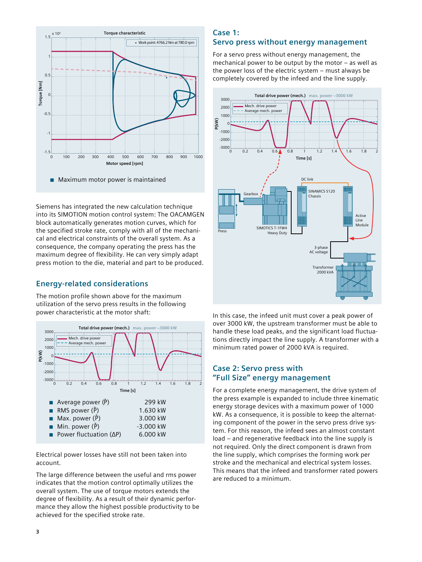

Siemens has integrated the new calculation technique into its SIMOTION motion control system: The OACAMGEN block automatically generates motion curves, which for the specified stroke rate, comply with all of the mechanical and electrical constraints of the overall system. As a consequence, the company operating the press has the maximum degree of flexibility. He can very simply adapt press motion to the die, material and part to be produced.

#### **Energy‐related considerations**

The motion profile shown above for the maximum utilization of the servo press results in the following power characteristic at the motor shaft:



Electrical power losses have still not been taken into account.

The large difference between the useful and rms power indicates that the motion control optimally utilizes the overall system. The use of torque motors extends the degree of flexibility. As a result of their dynamic performance they allow the highest possible productivity to be achieved for the specified stroke rate.

#### **Case 1: Servo press without energy management**

For a servo press without energy management, the mechanical power to be output by the motor – as well as the power loss of the electric system – must always be completely covered by the infeed and the line supply.



In this case, the infeed unit must cover a peak power of over 3000 kW, the upstream transformer must be able to handle these load peaks, and the significant load fluctuations directly impact the line supply. A transformer with a minimum rated power of 2000 kVA is required.

### **Case 2: Servo press with "Full Size" energy management**

For a complete energy management, the drive system of the press example is expanded to include three kinematic energy storage devices with a maximum power of 1000 kW. As a consequence, it is possible to keep the alternating component of the power in the servo press drive system. For this reason, the infeed sees an almost constant load – and regenerative feedback into the line supply is not required. Only the direct component is drawn from the line supply, which comprises the forming work per stroke and the mechanical and electrical system losses. This means that the infeed and transformer rated powers are reduced to a minimum.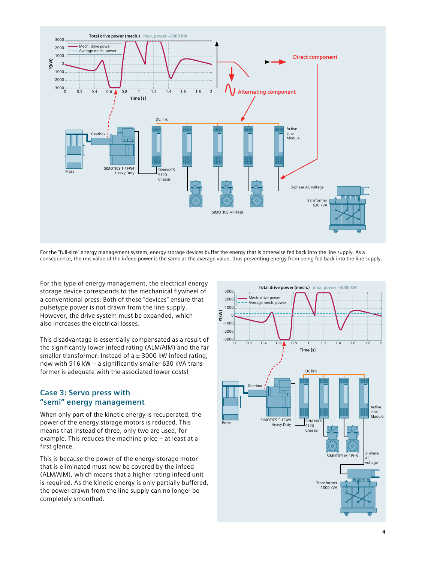

For the "full‐size" energy management system, energy storage devices buffer the energy that is otherwise fed back into the line supply. As a consequence, the rms value of the infeed power is the same as the average value, thus preventing energy from being fed back into the line supply.

For this type of energy management, the electrical energy storage device corresponds to the mechanical flywheel of a conventional press; Both of these "devices" ensure that pulsetype power is not drawn from the line supply. However, the drive system must be expanded, which also increases the electrical losses.

This disadvantage is essentially compensated as a result of the significantly lower infeed rating (ALM/AIM) and the far smaller transformer: Instead of  $a \pm 3000$  kW infeed rating, now with 516 kW – a significantly smaller 630 kVA transformer is adequate with the associated lower costs!

#### **Case 3: Servo press with "semi" energy management**

When only part of the kinetic energy is recuperated, the power of the energy storage motors is reduced. This means that instead of three, only two are used, for example. This reduces the machine price – at least at a first glance.

This is because the power of the energy‐storage motor that is eliminated must now be covered by the infeed (ALM/AIM), which means that a higher rating infeed unit is required. As the kinetic energy is only partially buffered, the power drawn from the line supply can no longer be completely smoothed.

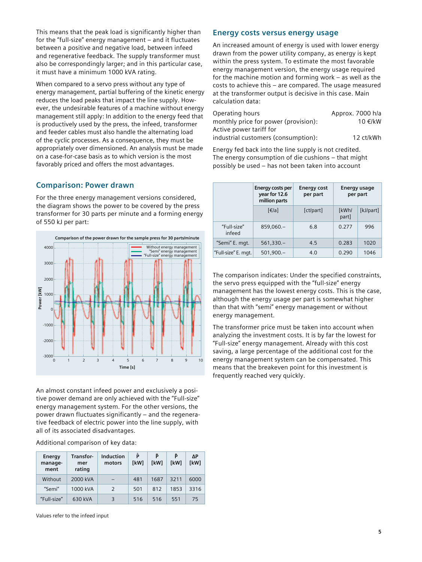This means that the peak load is significantly higher than for the "full‐size" energy management – and it fluctuates between a positive and negative load, between infeed and regenerative feedback. The supply transformer must also be correspondingly larger; and in this particular case, it must have a minimum 1000 kVA rating.

When compared to a servo press without any type of energy management, partial buffering of the kinetic energy reduces the load peaks that impact the line supply. However, the undesirable features of a machine without energy management still apply: In addition to the energy feed that is productively used by the press, the infeed, transformer and feeder cables must also handle the alternating load of the cyclic processes. As a consequence, they must be appropriately over dimensioned. An analysis must be made on a case‐for‐case basis as to which version is the most favorably priced and offers the most advantages.

#### **Comparison: Power drawn**

For the three energy management versions considered, the diagram shows the power to be covered by the press transformer for 30 parts per minute and a forming energy of 550 kJ per part:



An almost constant infeed power and exclusively a positive power demand are only achieved with the "Full‐size" energy management system. For the other versions, the power drawn fluctuates significantly – and the regenerative feedback of electric power into the line supply, with all of its associated disadvantages.

Additional comparison of key data:

| Energy<br>manage-<br>ment | Transfor-<br>mer<br>rating | Induction<br>motors | P<br><b>IkW1</b> | P<br><b>IkWI</b> | ê<br><b>IkW1</b> | ΔΡ<br>[kW] |
|---------------------------|----------------------------|---------------------|------------------|------------------|------------------|------------|
| Without                   | 2000 kVA                   |                     | 481              | 1687             | 3211             | 6000       |
| "Semi"                    | 1000 kVA                   | $\mathcal{P}$       | 501              | 812              | 1853             | 3316       |
| "Full-size"               | 630 kVA                    | 3                   | 516              | 516              | 551              | 75         |

Values refer to the infeed input

#### **Energy costs versus energy usage**

An increased amount of energy is used with lower energy drawn from the power utility company, as energy is kept within the press system. To estimate the most favorable energy management version, the energy usage required for the machine motion and forming work – as well as the costs to achieve this – are compared. The usage measured at the transformer output is decisive in this case. Main calculation data:

| Operating hours                      | Approx. 7000 h/a |
|--------------------------------------|------------------|
| monthly price for power (provision): | 10 €/kW          |
| Active power tariff for              |                  |
| industrial customers (consumption):  | 12 ct/kWh        |

Energy fed back into the line supply is not credited. The energy consumption of die cushions – that might possibly be used – has not been taken into account

|                       | Energy costs per<br>year for 12.6<br>million parts | <b>Energy cost</b><br>per part | Energy usage<br>per part |           |
|-----------------------|----------------------------------------------------|--------------------------------|--------------------------|-----------|
|                       | $\lceil \in$ /a                                    | [ct/part]                      | [kWh/<br>part]           | [kJ/part] |
| "Full-size"<br>infeed | $859.060 -$                                        | 6.8                            | 0.277                    | 996       |
| "Semi" E. mgt.        | $561,330-$                                         | 4.5                            | 0.283                    | 1020      |
| "Full-size" E. mgt.   | $501,900 -$                                        | 4.0                            | 0.290                    | 1046      |

The comparison indicates: Under the specified constraints, the servo press equipped with the "full‐size" energy management has the lowest energy costs. This is the case, although the energy usage per part is somewhat higher than that with "semi" energy management or without energy management.

The transformer price must be taken into account when analyzing the investment costs. It is by far the lowest for "Full‐size" energy management. Already with this cost saving, a large percentage of the additional cost for the energy management system can be compensated. This means that the breakeven point for this investment is frequently reached very quickly.